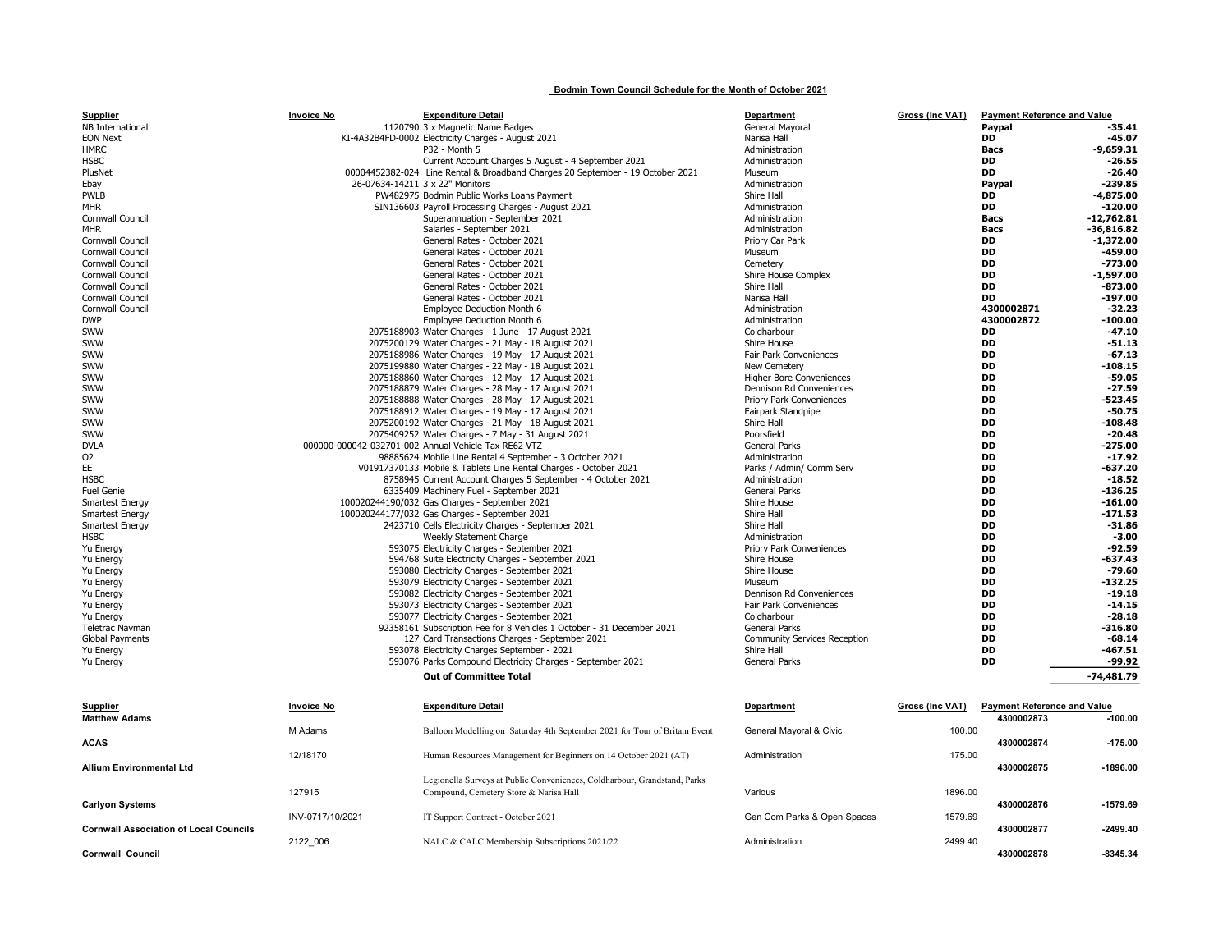## Bodmin Town Council Schedule for the Month of October 2021

| <b>Supplier</b>                               | <b>Invoice No</b> | <b>Expenditure Detail</b>                                                      | Department                          | Gross (Inc VAT) | <b>Payment Reference and Value</b> |              |
|-----------------------------------------------|-------------------|--------------------------------------------------------------------------------|-------------------------------------|-----------------|------------------------------------|--------------|
| NB International                              |                   | 1120790 3 x Magnetic Name Badges                                               | General Mayoral                     |                 | Paypal                             | -35.41       |
| <b>EON Next</b>                               |                   | KI-4A32B4FD-0002 Electricity Charges - August 2021                             | Narisa Hall                         |                 | <b>DD</b>                          | $-45.07$     |
| <b>HMRC</b>                                   |                   | P32 - Month 5                                                                  | Administration                      |                 | Bacs                               | $-9,659.31$  |
| HSBC                                          |                   | Current Account Charges 5 August - 4 September 2021                            | Administration                      |                 | <b>DD</b>                          | $-26.55$     |
| PlusNet                                       |                   | 00004452382-024 Line Rental & Broadband Charges 20 September - 19 October 2021 | Museum                              |                 | <b>DD</b>                          | $-26.40$     |
| Ebay                                          |                   | 26-07634-14211 3 x 22" Monitors                                                | Administration                      |                 | Paypal                             | $-239.85$    |
| PWLB                                          |                   | PW482975 Bodmin Public Works Loans Payment                                     | Shire Hall                          |                 | DD                                 | $-4,875.00$  |
| MHR                                           |                   | SIN136603 Payroll Processing Charges - August 2021                             | Administration                      |                 | <b>DD</b>                          | $-120.00$    |
| Cornwall Council                              |                   | Superannuation - September 2021                                                | Administration                      |                 | <b>Bacs</b>                        | $-12,762.81$ |
|                                               |                   |                                                                                |                                     |                 |                                    |              |
| MHR                                           |                   | Salaries - September 2021                                                      | Administration                      |                 | <b>Bacs</b>                        | $-36,816.82$ |
| Cornwall Council                              |                   | General Rates - October 2021                                                   | Priory Car Park                     |                 | DD                                 | -1,372.00    |
| Cornwall Council                              |                   | General Rates - October 2021                                                   | Museum                              |                 | <b>DD</b>                          | -459.00      |
| Cornwall Council                              |                   | General Rates - October 2021                                                   | Cemetery                            |                 | <b>DD</b>                          | $-773.00$    |
| Cornwall Council                              |                   | General Rates - October 2021                                                   | Shire House Complex                 |                 | <b>DD</b>                          | $-1,597.00$  |
| Cornwall Council                              |                   | General Rates - October 2021                                                   | Shire Hall                          |                 | <b>DD</b>                          | $-873.00$    |
| Cornwall Council                              |                   | General Rates - October 2021                                                   | Narisa Hall                         |                 | <b>DD</b>                          | $-197.00$    |
| Cornwall Council                              |                   | Employee Deduction Month 6                                                     | Administration                      |                 | 4300002871                         | $-32.23$     |
| <b>DWP</b>                                    |                   | Employee Deduction Month 6                                                     | Administration                      |                 | 4300002872                         | $-100.00$    |
| sww                                           |                   | 2075188903 Water Charges - 1 June - 17 August 2021                             | Coldharbour                         |                 | DD                                 | $-47.10$     |
|                                               |                   |                                                                                |                                     |                 | <b>DD</b>                          |              |
| <b>SWW</b>                                    |                   | 2075200129 Water Charges - 21 May - 18 August 2021                             | Shire House                         |                 |                                    | $-51.13$     |
| sww                                           |                   | 2075188986 Water Charges - 19 May - 17 August 2021                             | Fair Park Conveniences              |                 | <b>DD</b>                          | $-67.13$     |
| SWW                                           |                   | 2075199880 Water Charges - 22 May - 18 August 2021                             | New Cemetery                        |                 | <b>DD</b>                          | $-108.15$    |
| SWW                                           |                   | 2075188860 Water Charges - 12 May - 17 August 2021                             | <b>Higher Bore Conveniences</b>     |                 | DD                                 | $-59.05$     |
| SWW                                           |                   | 2075188879 Water Charges - 28 May - 17 August 2021                             | Dennison Rd Conveniences            |                 | <b>DD</b>                          | $-27.59$     |
| <b>SWW</b>                                    |                   | 2075188888 Water Charges - 28 May - 17 August 2021                             | Priory Park Conveniences            |                 | <b>DD</b>                          | $-523.45$    |
| sww                                           |                   | 2075188912 Water Charges - 19 May - 17 August 2021                             | Fairpark Standpipe                  |                 | DD                                 | $-50.75$     |
| <b>SWW</b>                                    |                   | 2075200192 Water Charges - 21 May - 18 August 2021                             | Shire Hall                          |                 | <b>DD</b>                          | $-108.48$    |
| SWW                                           |                   | 2075409252 Water Charges - 7 May - 31 August 2021                              | Poorsfield                          |                 | <b>DD</b>                          | $-20.48$     |
| <b>DVLA</b>                                   |                   | 000000-000042-032701-002 Annual Vehicle Tax RE62 VTZ                           | <b>General Parks</b>                |                 | <b>DD</b>                          | $-275.00$    |
|                                               |                   |                                                                                |                                     |                 |                                    | $-17.92$     |
| 02                                            |                   | 98885624 Mobile Line Rental 4 September - 3 October 2021                       | Administration                      |                 | <b>DD</b>                          |              |
| ΕE                                            |                   | V01917370133 Mobile & Tablets Line Rental Charges - October 2021               | Parks / Admin/ Comm Serv            |                 | <b>DD</b>                          | -637.20      |
| HSBC                                          |                   | 8758945 Current Account Charges 5 September - 4 October 2021                   | Administration                      |                 | <b>DD</b>                          | $-18.52$     |
| Fuel Genie                                    |                   | 6335409 Machinery Fuel - September 2021                                        | <b>General Parks</b>                |                 | DD                                 | $-136.25$    |
| Smartest Energy                               |                   | 100020244190/032 Gas Charges - September 2021                                  | Shire House                         |                 | <b>DD</b>                          | $-161.00$    |
| <b>Smartest Energy</b>                        |                   | 100020244177/032 Gas Charges - September 2021                                  | Shire Hall                          |                 | <b>DD</b>                          | $-171.53$    |
| Smartest Energy                               |                   | 2423710 Cells Electricity Charges - September 2021                             | Shire Hall                          |                 | <b>DD</b>                          | $-31.86$     |
| HSBC                                          |                   | Weekly Statement Charge                                                        | Administration                      |                 | <b>DD</b>                          | $-3.00$      |
| Yu Energy                                     |                   | 593075 Electricity Charges - September 2021                                    | Priory Park Conveniences            |                 | DD                                 | $-92.59$     |
|                                               |                   |                                                                                |                                     |                 | <b>DD</b>                          |              |
| Yu Energy                                     |                   | 594768 Suite Electricity Charges - September 2021                              | Shire House                         |                 |                                    | $-637.43$    |
| Yu Energy                                     |                   | 593080 Electricity Charges - September 2021                                    | Shire House                         |                 | <b>DD</b>                          | $-79.60$     |
| Yu Energy                                     |                   | 593079 Electricity Charges - September 2021                                    | Museum                              |                 | <b>DD</b>                          | $-132.25$    |
| Yu Energy                                     |                   | 593082 Electricity Charges - September 2021                                    | Dennison Rd Conveniences            |                 | <b>DD</b>                          | $-19.18$     |
| Yu Energy                                     |                   | 593073 Electricity Charges - September 2021                                    | Fair Park Conveniences              |                 | <b>DD</b>                          | $-14.15$     |
| Yu Energy                                     |                   | 593077 Electricity Charges - September 2021                                    | Coldharbour                         |                 | <b>DD</b>                          | $-28.18$     |
| Teletrac Navman                               |                   | 92358161 Subscription Fee for 8 Vehicles 1 October - 31 December 2021          | <b>General Parks</b>                |                 | <b>DD</b>                          | $-316.80$    |
| Global Payments                               |                   | 127 Card Transactions Charges - September 2021                                 | <b>Community Services Reception</b> |                 | <b>DD</b>                          | -68.14       |
| Yu Energy                                     |                   | 593078 Electricity Charges September - 2021                                    | Shire Hall                          |                 | <b>DD</b>                          | $-467.51$    |
| Yu Energy                                     |                   | 593076 Parks Compound Electricity Charges - September 2021                     | <b>General Parks</b>                |                 | DD                                 | $-99.92$     |
|                                               |                   |                                                                                |                                     |                 |                                    |              |
|                                               |                   | <b>Out of Committee Total</b>                                                  |                                     |                 |                                    | $-74.481.79$ |
|                                               |                   |                                                                                |                                     |                 |                                    |              |
| Supplier                                      | <b>Invoice No</b> | <b>Expenditure Detail</b>                                                      | Department                          | Gross (Inc VAT) | <b>Payment Reference and Value</b> |              |
|                                               |                   |                                                                                |                                     |                 |                                    |              |
| <b>Matthew Adams</b>                          |                   |                                                                                |                                     |                 | 4300002873                         | $-100.00$    |
|                                               | M Adams           | Balloon Modelling on Saturday 4th September 2021 for Tour of Britain Event     | General Mayoral & Civic             | 100.00          |                                    |              |
| ACAS                                          |                   |                                                                                |                                     |                 | 4300002874                         | $-175.00$    |
|                                               | 12/18170          | Human Resources Management for Beginners on 14 October 2021 (AT)               | Administration                      | 175.00          |                                    |              |
| Allium Environmental Ltd                      |                   |                                                                                |                                     |                 | 4300002875                         | -1896.00     |
|                                               |                   |                                                                                |                                     |                 |                                    |              |
|                                               |                   | Legionella Surveys at Public Conveniences, Coldharbour, Grandstand, Parks      |                                     |                 |                                    |              |
|                                               | 127915            | Compound, Cemetery Store & Narisa Hall                                         | Various                             | 1896.00         |                                    |              |
| <b>Carlyon Systems</b>                        |                   |                                                                                |                                     |                 | 4300002876                         | $-1579.69$   |
|                                               | INV-0717/10/2021  | IT Support Contract - October 2021                                             | Gen Com Parks & Open Spaces         | 1579.69         |                                    |              |
| <b>Cornwall Association of Local Councils</b> |                   |                                                                                |                                     |                 | 4300002877                         | $-2499.40$   |
|                                               | 2122 006          | NALC & CALC Membership Subscriptions 2021/22                                   | Administration                      | 2499.40         |                                    |              |
|                                               |                   |                                                                                |                                     |                 |                                    |              |
| Cornwall Council                              |                   |                                                                                |                                     |                 | 4300002878                         | -8345.34     |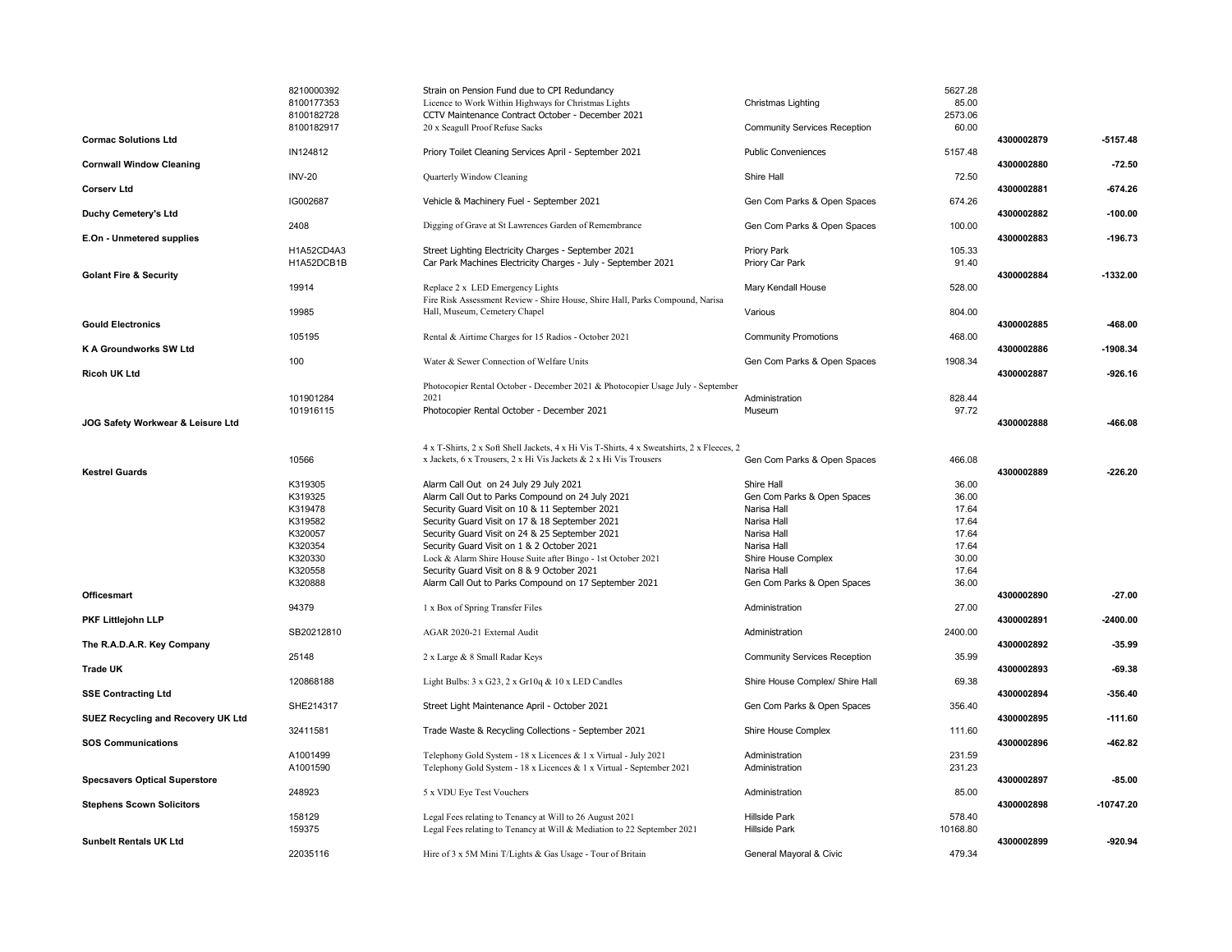|                                      | 8210000392    | Strain on Pension Fund due to CPI Redundancy                                                                          |                                     | 5627.28  |            |             |
|--------------------------------------|---------------|-----------------------------------------------------------------------------------------------------------------------|-------------------------------------|----------|------------|-------------|
|                                      | 8100177353    | Licence to Work Within Highways for Christmas Lights                                                                  | Christmas Lighting                  | 85.00    |            |             |
|                                      | 8100182728    | CCTV Maintenance Contract October - December 2021                                                                     |                                     | 2573.06  |            |             |
|                                      | 8100182917    | 20 x Seagull Proof Refuse Sacks                                                                                       | <b>Community Services Reception</b> | 60.00    |            |             |
| <b>Cormac Solutions Ltd</b>          |               |                                                                                                                       |                                     |          | 4300002879 | $-5157.48$  |
|                                      | IN124812      | Priory Toilet Cleaning Services April - September 2021                                                                | <b>Public Conveniences</b>          | 5157.48  |            |             |
| <b>Cornwall Window Cleaning</b>      |               |                                                                                                                       |                                     |          | 4300002880 | $-72.50$    |
|                                      | <b>INV-20</b> | Quarterly Window Cleaning                                                                                             | Shire Hall                          | 72.50    |            |             |
| <b>Corserv Ltd</b>                   |               |                                                                                                                       |                                     |          | 4300002881 | $-674.26$   |
|                                      | IG002687      | Vehicle & Machinery Fuel - September 2021                                                                             | Gen Com Parks & Open Spaces         | 674.26   |            |             |
| Duchy Cemetery's Ltd                 |               |                                                                                                                       |                                     |          | 4300002882 | $-100.00$   |
| E.On - Unmetered supplies            | 2408          | Digging of Grave at St Lawrences Garden of Remembrance                                                                | Gen Com Parks & Open Spaces         | 100.00   | 4300002883 | -196.73     |
|                                      | H1A52CD4A3    |                                                                                                                       | Priory Park                         | 105.33   |            |             |
|                                      | H1A52DCB1B    | Street Lighting Electricity Charges - September 2021<br>Car Park Machines Electricity Charges - July - September 2021 | Priory Car Park                     | 91.40    |            |             |
| <b>Golant Fire &amp; Security</b>    |               |                                                                                                                       |                                     |          | 4300002884 | $-1332.00$  |
|                                      | 19914         | Replace 2 x LED Emergency Lights                                                                                      | Mary Kendall House                  | 528.00   |            |             |
|                                      |               | Fire Risk Assessment Review - Shire House, Shire Hall, Parks Compound, Narisa                                         |                                     |          |            |             |
|                                      | 19985         | Hall, Museum, Cemetery Chapel                                                                                         | Various                             | 804.00   |            |             |
| <b>Gould Electronics</b>             |               |                                                                                                                       |                                     |          | 4300002885 | -468.00     |
|                                      | 105195        | Rental & Airtime Charges for 15 Radios - October 2021                                                                 | <b>Community Promotions</b>         | 468.00   |            |             |
| K A Groundworks SW Ltd               |               |                                                                                                                       |                                     |          | 4300002886 | -1908.34    |
|                                      | 100           | Water & Sewer Connection of Welfare Units                                                                             | Gen Com Parks & Open Spaces         | 1908.34  |            |             |
| <b>Ricoh UK Ltd</b>                  |               |                                                                                                                       |                                     |          | 4300002887 | $-926.16$   |
|                                      |               | Photocopier Rental October - December 2021 & Photocopier Usage July - September                                       |                                     |          |            |             |
|                                      | 101901284     | 2021                                                                                                                  | Administration                      | 828.44   |            |             |
|                                      | 101916115     | Photocopier Rental October - December 2021                                                                            | Museum                              | 97.72    |            |             |
| JOG Safety Workwear & Leisure Ltd    |               |                                                                                                                       |                                     |          | 4300002888 | -466.08     |
|                                      |               |                                                                                                                       |                                     |          |            |             |
|                                      |               | 4 x T-Shirts, 2 x Soft Shell Jackets, 4 x Hi Vis T-Shirts, 4 x Sweatshirts, 2 x Fleeces, 2                            |                                     |          |            |             |
|                                      | 10566         | x Jackets, 6 x Trousers, 2 x Hi Vis Jackets & 2 x Hi Vis Trousers                                                     | Gen Com Parks & Open Spaces         | 466.08   |            |             |
| <b>Kestrel Guards</b>                |               |                                                                                                                       |                                     |          | 4300002889 | $-226.20$   |
|                                      | K319305       | Alarm Call Out on 24 July 29 July 2021                                                                                | Shire Hall                          | 36.00    |            |             |
|                                      | K319325       | Alarm Call Out to Parks Compound on 24 July 2021                                                                      | Gen Com Parks & Open Spaces         | 36.00    |            |             |
|                                      | K319478       | Security Guard Visit on 10 & 11 September 2021                                                                        | Narisa Hall                         | 17.64    |            |             |
|                                      | K319582       | Security Guard Visit on 17 & 18 September 2021                                                                        | Narisa Hall                         | 17.64    |            |             |
|                                      | K320057       | Security Guard Visit on 24 & 25 September 2021                                                                        | Narisa Hall                         | 17.64    |            |             |
|                                      | K320354       | Security Guard Visit on 1 & 2 October 2021                                                                            | Narisa Hall                         | 17.64    |            |             |
|                                      | K320330       | Lock & Alarm Shire House Suite after Bingo - 1st October 2021                                                         | Shire House Complex                 | 30.00    |            |             |
|                                      | K320558       | Security Guard Visit on 8 & 9 October 2021                                                                            | Narisa Hall                         | 17.64    |            |             |
|                                      | K320888       | Alarm Call Out to Parks Compound on 17 September 2021                                                                 | Gen Com Parks & Open Spaces         | 36.00    |            |             |
| Officesmart                          |               |                                                                                                                       |                                     |          | 4300002890 | $-27.00$    |
| PKF Littlejohn LLP                   | 94379         | 1 x Box of Spring Transfer Files                                                                                      | Administration                      | 27.00    |            | $-2400.00$  |
|                                      | SB20212810    | AGAR 2020-21 External Audit                                                                                           | Administration                      | 2400.00  | 4300002891 |             |
| The R.A.D.A.R. Key Company           |               |                                                                                                                       |                                     |          | 4300002892 | -35.99      |
|                                      | 25148         | 2 x Large & 8 Small Radar Keys                                                                                        | <b>Community Services Reception</b> | 35.99    |            |             |
| <b>Trade UK</b>                      |               |                                                                                                                       |                                     |          | 4300002893 | $-69.38$    |
|                                      | 120868188     | Light Bulbs: 3 x G23, 2 x Gr10q & 10 x LED Candles                                                                    | Shire House Complex/ Shire Hall     | 69.38    |            |             |
| <b>SSE Contracting Ltd</b>           |               |                                                                                                                       |                                     |          | 4300002894 | -356.40     |
|                                      | SHE214317     | Street Light Maintenance April - October 2021                                                                         | Gen Com Parks & Open Spaces         | 356.40   |            |             |
| SUEZ Recycling and Recovery UK Ltd   |               |                                                                                                                       |                                     |          | 4300002895 | $-111.60$   |
|                                      | 32411581      | Trade Waste & Recycling Collections - September 2021                                                                  | Shire House Complex                 | 111.60   |            |             |
| <b>SOS Communications</b>            |               |                                                                                                                       |                                     |          | 4300002896 | -462.82     |
|                                      | A1001499      | Telephony Gold System - 18 x Licences & 1 x Virtual - July 2021                                                       | Administration                      | 231.59   |            |             |
|                                      | A1001590      | Telephony Gold System - 18 x Licences & 1 x Virtual - September 2021                                                  | Administration                      | 231.23   |            |             |
| <b>Specsavers Optical Superstore</b> |               |                                                                                                                       |                                     |          | 4300002897 | $-85.00$    |
|                                      | 248923        | 5 x VDU Eye Test Vouchers                                                                                             | Administration                      | 85.00    |            |             |
| <b>Stephens Scown Solicitors</b>     |               |                                                                                                                       |                                     |          | 4300002898 | $-10747.20$ |
|                                      | 158129        | Legal Fees relating to Tenancy at Will to 26 August 2021                                                              | <b>Hillside Park</b>                | 578.40   |            |             |
|                                      | 159375        | Legal Fees relating to Tenancy at Will & Mediation to 22 September 2021                                               | <b>Hillside Park</b>                | 10168.80 |            |             |
| <b>Sunbelt Rentals UK Ltd</b>        |               |                                                                                                                       |                                     |          | 4300002899 | -920.94     |
|                                      | 22035116      | Hire of 3 x 5M Mini T/Lights & Gas Usage - Tour of Britain                                                            | General Mayoral & Civic             | 479.34   |            |             |